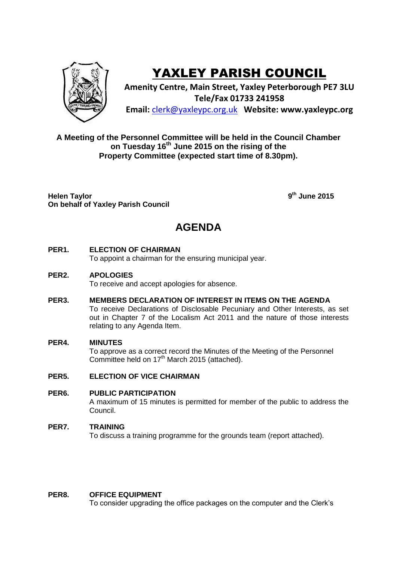

# YAXLEY PARISH COUNCIL

**Amenity Centre, Main Street, Yaxley Peterborough PE7 3LU Tele/Fax 01733 241958 Email:** [clerk@yaxleypc.org.uk](mailto:clerk@yaxleypc.org.uk) **Website: www.yaxleypc.org**

### **A Meeting of the Personnel Committee will be held in the Council Chamber on Tuesday 16th June 2015 on the rising of the Property Committee (expected start time of 8.30pm).**

**Helen Taylor On behalf of Yaxley Parish Council** **th June 2015**

## **AGENDA**

#### **PER1. ELECTION OF CHAIRMAN**

To appoint a chairman for the ensuring municipal year.

#### **PER2. APOLOGIES**

To receive and accept apologies for absence.

**PER3. MEMBERS DECLARATION OF INTEREST IN ITEMS ON THE AGENDA** To receive Declarations of Disclosable Pecuniary and Other Interests, as set out in Chapter 7 of the Localism Act 2011 and the nature of those interests relating to any Agenda Item.

#### **PER4. MINUTES**

To approve as a correct record the Minutes of the Meeting of the Personnel Committee held on  $17<sup>th</sup>$  March 2015 (attached).

#### **PER5. ELECTION OF VICE CHAIRMAN**

#### **PER6. PUBLIC PARTICIPATION**

A maximum of 15 minutes is permitted for member of the public to address the Council.

#### **PER7. TRAINING**

To discuss a training programme for the grounds team (report attached).

#### **PER8. OFFICE EQUIPMENT**

To consider upgrading the office packages on the computer and the Clerk's